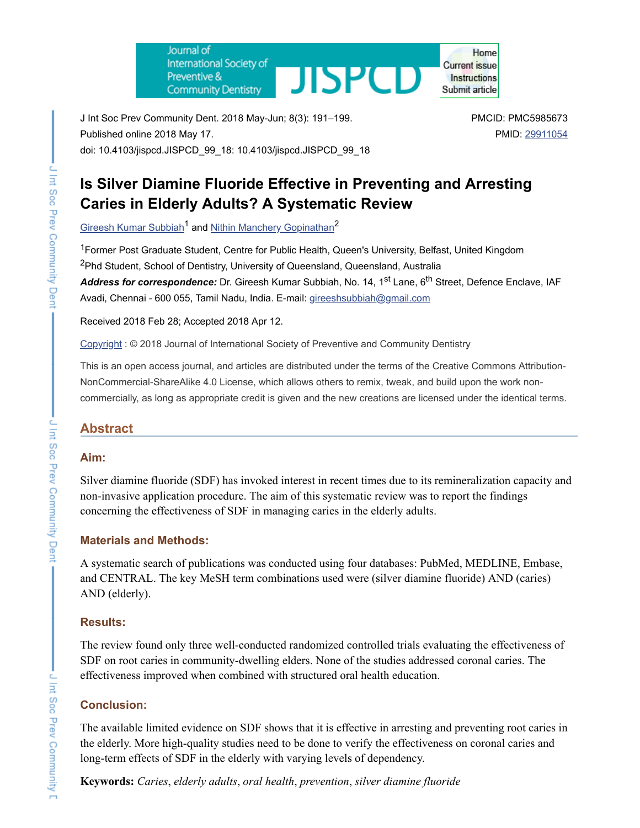Journal of International Society of **JISPCD** Preventive & **Community Dentistry** 

Home **Current issue** Instructions Submit article

J Int Soc Prev Community Dent. 2018 May-Jun; 8(3): 191–199. Published online 2018 May 17. doi: 10.4103/jispcd.JISPCD\_99\_18: 10.4103/jispcd.JISPCD\_99\_18 PMCID: PMC5985673 PMID: [29911054](https://www.ncbi.nlm.nih.gov/pubmed/29911054)

# **Is Silver Diamine Fluoride Effective in Preventing and Arresting Caries in Elderly Adults? A Systematic Review**

Gireesh Kumar [Subbiah](https://www.ncbi.nlm.nih.gov/pubmed/?term=Subbiah%20GK%5BAuthor%5D&cauthor=true&cauthor_uid=29911054)<sup>1</sup> and Nithin Manchery [Gopinathan](https://www.ncbi.nlm.nih.gov/pubmed/?term=Gopinathan%20NM%5BAuthor%5D&cauthor=true&cauthor_uid=29911054)<sup>2</sup>

<sup>1</sup> Former Post Graduate Student, Centre for Public Health, Queen's University, Belfast, United Kingdom <sup>2</sup>Phd Student, School of Dentistry, University of Queensland, Queensland, Australia **Address for correspondence:** Dr. Gireesh Kumar Subbiah, No. 14, 1<sup>st</sup> Lane, 6<sup>th</sup> Street, Defence Enclave, IAF Avadi, Chennai - 600 055, Tamil Nadu, India. E-mail: [gireeshsubbiah@gmail.com](mailto:dev@null)

Received 2018 Feb 28; Accepted 2018 Apr 12.

[Copyright](https://www.ncbi.nlm.nih.gov/pmc/about/copyright/) : © 2018 Journal of International Society of Preventive and Community Dentistry

This is an open access journal, and articles are distributed under the terms of the Creative Commons Attribution-NonCommercial-ShareAlike 4.0 License, which allows others to remix, tweak, and build upon the work noncommercially, as long as appropriate credit is given and the new creations are licensed under the identical terms.

### **Abstract**

#### **Aim:**

Silver diamine fluoride (SDF) has invoked interest in recent times due to its remineralization capacity and non-invasive application procedure. The aim of this systematic review was to report the findings concerning the effectiveness of SDF in managing caries in the elderly adults.

### **Materials and Methods:**

A systematic search of publications was conducted using four databases: PubMed, MEDLINE, Embase, and CENTRAL. The key MeSH term combinations used were (silver diamine fluoride) AND (caries) AND (elderly).

#### **Results:**

The review found only three well-conducted randomized controlled trials evaluating the effectiveness of SDF on root caries in community-dwelling elders. None of the studies addressed coronal caries. The effectiveness improved when combined with structured oral health education.

### **Conclusion:**

The available limited evidence on SDF shows that it is effective in arresting and preventing root caries in the elderly. More high-quality studies need to be done to verify the effectiveness on coronal caries and long-term effects of SDF in the elderly with varying levels of dependency.

**Keywords:** *Caries*, *elderly adults*, *oral health*, *prevention*, *silver diamine fluoride*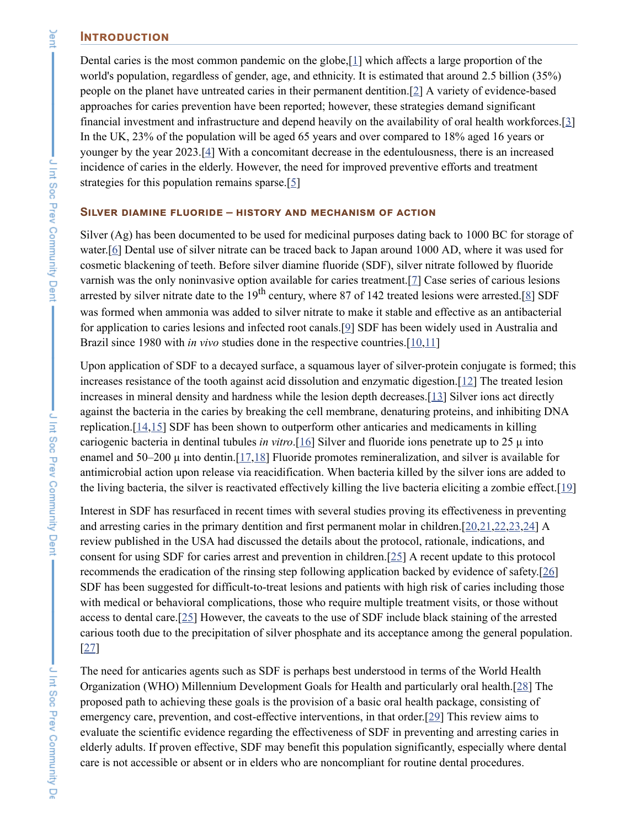#### **INTRODUCTION**

Dental caries is the most common pandemic on the globe,[\[1\]](#page-6-0) which affects a large proportion of the world's population, regardless of gender, age, and ethnicity. It is estimated that around 2.5 billion (35%) people on the planet have untreated caries in their permanent dentition.[\[2](#page-6-1)] A variety of evidence-based approaches for caries prevention have been reported; however, these strategies demand significant financial investment and infrastructure and depend heavily on the availability of oral health workforces.[\[3\]](#page-6-2) In the UK, 23% of the population will be aged 65 years and over compared to 18% aged 16 years or younger by the year 2023.[[4](#page-6-3)] With a concomitant decrease in the edentulousness, there is an increased incidence of caries in the elderly. However, the need for improved preventive efforts and treatment strategies for this population remains sparse.[\[5\]](#page-6-4)

#### **SILVER DIAMINE FLUORIDE - HISTORY AND MECHANISM OF ACTION**

Silver (Ag) has been documented to be used for medicinal purposes dating back to 1000 BC for storage of water.<sup>[\[6\]](#page-6-5)</sup> Dental use of silver nitrate can be traced back to Japan around 1000 AD, where it was used for cosmetic blackening of teeth. Before silver diamine fluoride (SDF), silver nitrate followed by fluoride varnish was the only noninvasive option available for caries treatment.[\[7](#page-6-6)] Case series of carious lesions arrested by silver nitrate date to the  $19<sup>th</sup>$  century, where [8](#page-6-7)7 of 142 treated lesions were arrested.[8] SDF was formed when ammonia was added to silver nitrate to make it stable and effective as an antibacterial for application to caries lesions and infected root canals.[\[9\]](#page-6-8) SDF has been widely used in Australia and Brazil since 1980 with *in vivo* studies done in the respective countries.[[10](#page-6-9)[,11\]](#page-6-10)

Upon application of SDF to a decayed surface, a squamous layer of silver-protein conjugate is formed; this increases resistance of the tooth against acid dissolution and enzymatic digestion.[[12\]](#page-6-11) The treated lesion increases in mineral density and hardness while the lesion depth decreases.[[13\]](#page-6-12) Silver ions act directly against the bacteria in the caries by breaking the cell membrane, denaturing proteins, and inhibiting DNA replication.[\[14](#page-6-13)[,15](#page-7-0)] SDF has been shown to outperform other anticaries and medicaments in killing cariogenic bacteria in dentinal tubules *in vitro*.[\[16](#page-7-1)] Silver and fluoride ions penetrate up to 25 μ into enamel and 50–200  $\mu$  into dentin.[\[17,](#page-7-2)[18](#page-7-3)] Fluoride promotes remineralization, and silver is available for antimicrobial action upon release via reacidification. When bacteria killed by the silver ions are added to the living bacteria, the silver is reactivated effectively killing the live bacteria eliciting a zombie effect.[[19\]](#page-7-4)

Interest in SDF has resurfaced in recent times with several studies proving its effectiveness in preventing and arresting caries in the primary dentition and first permanent molar in children.[\[20](#page-7-5)[,21](#page-7-6)[,22](#page-7-7)[,23](#page-7-8),[24\]](#page-7-9) A review published in the USA had discussed the details about the protocol, rationale, indications, and consent for using SDF for caries arrest and prevention in children.[[25](#page-7-10)] A recent update to this protocol recommends the eradication of the rinsing step following application backed by evidence of safety.[\[26\]](#page-7-11) SDF has been suggested for difficult-to-treat lesions and patients with high risk of caries including those with medical or behavioral complications, those who require multiple treatment visits, or those without access to dental care.[\[25](#page-7-10)] However, the caveats to the use of SDF include black staining of the arrested carious tooth due to the precipitation of silver phosphate and its acceptance among the general population. [\[27](#page-7-12)]

The need for anticaries agents such as SDF is perhaps best understood in terms of the World Health Organization (WHO) Millennium Development Goals for Health and particularly oral health.[[28\]](#page-7-13) The proposed path to achieving these goals is the provision of a basic oral health package, consisting of emergency care, prevention, and cost-effective interventions, in that order.[\[29](#page-7-14)] This review aims to evaluate the scientific evidence regarding the effectiveness of SDF in preventing and arresting caries in elderly adults. If proven effective, SDF may benefit this population significantly, especially where dental care is not accessible or absent or in elders who are noncompliant for routine dental procedures.

Jent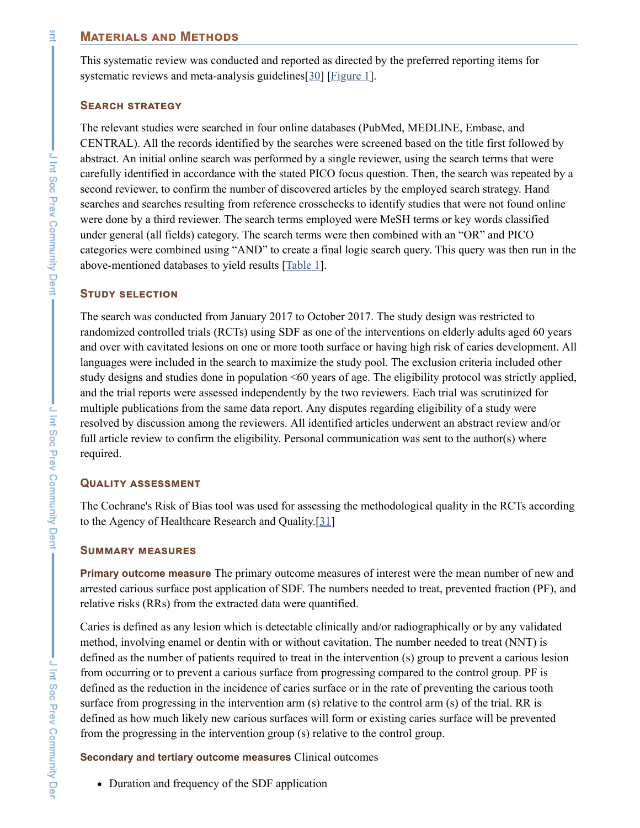#### **MATERIALS AND METHODS**

This systematic review was conducted and reported as directed by the preferred reporting items for systematic reviews and meta-analysis guidelines[\[30](#page-7-15)] [[Figure](https://www.ncbi.nlm.nih.gov/pmc/articles/PMC5985673/figure/F1/) 1].

#### **SEARCH STRATEGY**

The relevant studies were searched in four online databases (PubMed, MEDLINE, Embase, and CENTRAL). All the records identified by the searches were screened based on the title first followed by abstract. An initial online search was performed by a single reviewer, using the search terms that were carefully identified in accordance with the stated PICO focus question. Then, the search was repeated by a second reviewer, to confirm the number of discovered articles by the employed search strategy. Hand searches and searches resulting from reference crosschecks to identify studies that were not found online were done by a third reviewer. The search terms employed were MeSH terms or key words classified under general (all fields) category. The search terms were then combined with an "OR" and PICO categories were combined using "AND" to create a final logic search query. This query was then run in the above-mentioned databases to yield results [[Table](https://www.ncbi.nlm.nih.gov/pmc/articles/PMC5985673/table/T1/) 1].

### **STUDY SELECTION**

The search was conducted from January 2017 to October 2017. The study design was restricted to randomized controlled trials (RCTs) using SDF as one of the interventions on elderly adults aged 60 years and over with cavitated lesions on one or more tooth surface or having high risk of caries development. All languages were included in the search to maximize the study pool. The exclusion criteria included other study designs and studies done in population <60 years of age. The eligibility protocol was strictly applied, and the trial reports were assessed independently by the two reviewers. Each trial was scrutinized for multiple publications from the same data report. Any disputes regarding eligibility of a study were resolved by discussion among the reviewers. All identified articles underwent an abstract review and/or full article review to confirm the eligibility. Personal communication was sent to the author(s) where required.

#### **QUALITY ASSESSMENT**

The Cochrane's Risk of Bias tool was used for assessing the methodological quality in the RCTs according to the Agency of Healthcare Research and Quality.[[31\]](#page-7-16)

#### **SUMMARY MEASURES**

**Primary outcome measure** The primary outcome measures of interest were the mean number of new and arrested carious surface post application of SDF. The numbers needed to treat, prevented fraction (PF), and relative risks (RRs) from the extracted data were quantified.

Caries is defined as any lesion which is detectable clinically and/or radiographically or by any validated method, involving enamel or dentin with or without cavitation. The number needed to treat (NNT) is defined as the number of patients required to treat in the intervention (s) group to prevent a carious lesion from occurring or to prevent a carious surface from progressing compared to the control group. PF is defined as the reduction in the incidence of caries surface or in the rate of preventing the carious tooth surface from progressing in the intervention arm (s) relative to the control arm (s) of the trial. RR is defined as how much likely new carious surfaces will form or existing caries surface will be prevented from the progressing in the intervention group (s) relative to the control group.

**Secondary and tertiary outcome measures** Clinical outcomes

• Duration and frequency of the SDF application

Ĕ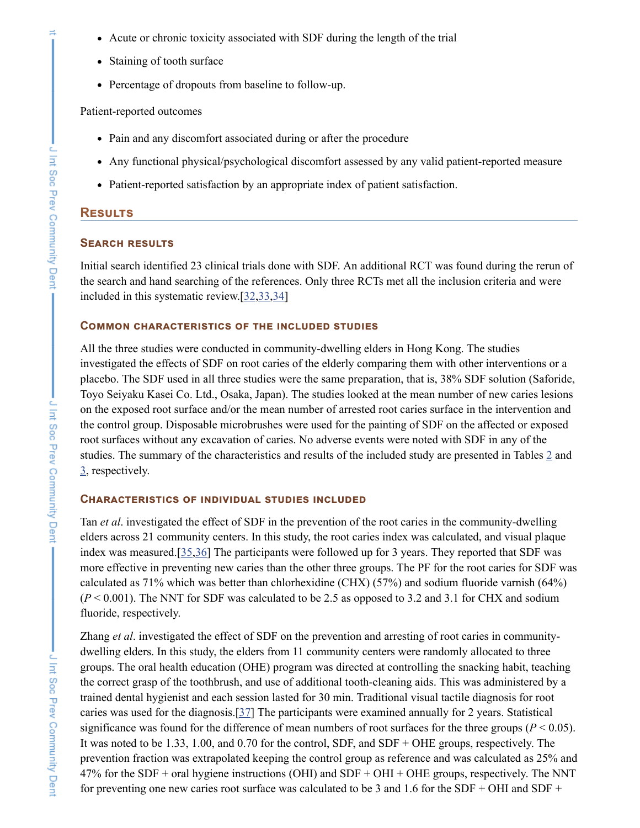- Acute or chronic toxicity associated with SDF during the length of the trial
- Staining of tooth surface
- Percentage of dropouts from baseline to follow-up.

#### Patient-reported outcomes

- Pain and any discomfort associated during or after the procedure
- Any functional physical/psychological discomfort assessed by any valid patient-reported measure
- Patient-reported satisfaction by an appropriate index of patient satisfaction.

#### **RESULTS**

#### **SEARCH RESULTS**

Initial search identified 23 clinical trials done with SDF. An additional RCT was found during the rerun of the search and hand searching of the references. Only three RCTs met all the inclusion criteria and were included in this systematic review.[[32,](#page-8-0)[33,](#page-8-1)[34\]](#page-8-2)

#### **COMMON CHARACTERISTICS OF THE INCLUDED STUDIES**

All the three studies were conducted in community-dwelling elders in Hong Kong. The studies investigated the effects of SDF on root caries of the elderly comparing them with other interventions or a placebo. The SDF used in all three studies were the same preparation, that is, 38% SDF solution (Saforide, Toyo Seiyaku Kasei Co. Ltd., Osaka, Japan). The studies looked at the mean number of new caries lesions on the exposed root surface and/or the mean number of arrested root caries surface in the intervention and the control group. Disposable microbrushes were used for the painting of SDF on the affected or exposed root surfaces without any excavation of caries. No adverse events were noted with SDF in any of the studies. The summary of the characteristics and results of the included study are presented in Tables [2](https://www.ncbi.nlm.nih.gov/pmc/articles/PMC5985673/table/T2/) and [3](https://www.ncbi.nlm.nih.gov/pmc/articles/PMC5985673/table/T3/), respectively.

#### **CHARACTERISTICS OF INDIVIDUAL STUDIES INCLUDED**

Tan *et al*. investigated the effect of SDF in the prevention of the root caries in the community-dwelling elders across 21 community centers. In this study, the root caries index was calculated, and visual plaque index was measured.[\[35](#page-8-3),[36](#page-8-4)] The participants were followed up for 3 years. They reported that SDF was more effective in preventing new caries than the other three groups. The PF for the root caries for SDF was calculated as 71% which was better than chlorhexidine (CHX) (57%) and sodium fluoride varnish (64%)  $(P < 0.001)$ . The NNT for SDF was calculated to be 2.5 as opposed to 3.2 and 3.1 for CHX and sodium fluoride, respectively.

Zhang *et al*. investigated the effect of SDF on the prevention and arresting of root caries in communitydwelling elders. In this study, the elders from 11 community centers were randomly allocated to three groups. The oral health education (OHE) program was directed at controlling the snacking habit, teaching the correct grasp of the toothbrush, and use of additional tooth-cleaning aids. This was administered by a trained dental hygienist and each session lasted for 30 min. Traditional visual tactile diagnosis for root caries was used for the diagnosis.[[37\]](#page-8-5) The participants were examined annually for 2 years. Statistical significance was found for the difference of mean numbers of root surfaces for the three groups ( $P < 0.05$ ). It was noted to be 1.33, 1.00, and 0.70 for the control, SDF, and SDF + OHE groups, respectively. The prevention fraction was extrapolated keeping the control group as reference and was calculated as 25% and 47% for the SDF + oral hygiene instructions (OHI) and SDF + OHI + OHE groups, respectively. The NNT for preventing one new caries root surface was calculated to be 3 and 1.6 for the SDF + OHI and SDF +

 $\equiv$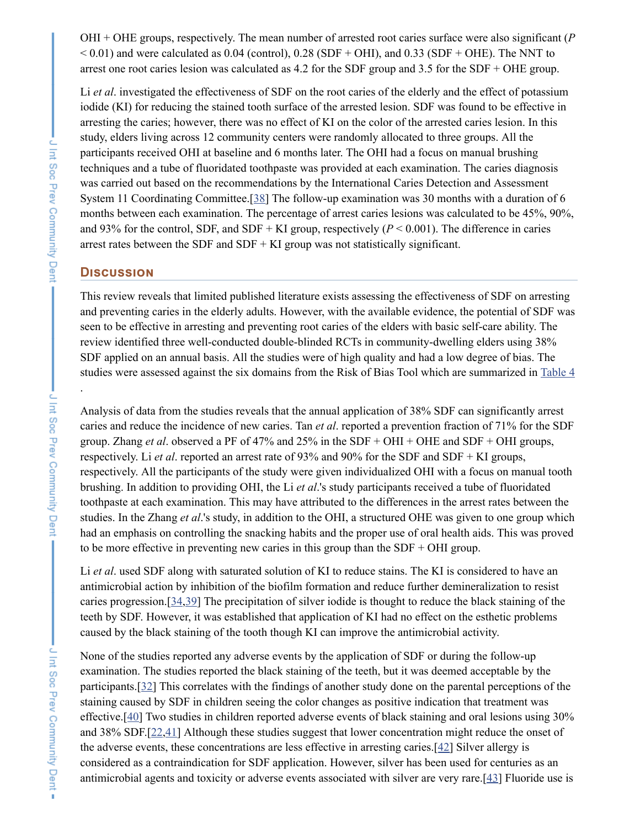OHI + OHE groups, respectively. The mean number of arrested root caries surface were also significant (*P*  $< 0.01$ ) and were calculated as 0.04 (control), 0.28 (SDF + OHI), and 0.33 (SDF + OHE). The NNT to arrest one root caries lesion was calculated as 4.2 for the SDF group and 3.5 for the SDF + OHE group.

Li *et al*. investigated the effectiveness of SDF on the root caries of the elderly and the effect of potassium iodide (KI) for reducing the stained tooth surface of the arrested lesion. SDF was found to be effective in arresting the caries; however, there was no effect of KI on the color of the arrested caries lesion. In this study, elders living across 12 community centers were randomly allocated to three groups. All the participants received OHI at baseline and 6 months later. The OHI had a focus on manual brushing techniques and a tube of fluoridated toothpaste was provided at each examination. The caries diagnosis was carried out based on the recommendations by the International Caries Detection and Assessment System 11 Coordinating Committee.[[38\]](#page-8-6) The follow-up examination was 30 months with a duration of 6 months between each examination. The percentage of arrest caries lesions was calculated to be 45%, 90%, and 93% for the control, SDF, and SDF + KI group, respectively  $(P < 0.001)$ . The difference in caries arrest rates between the SDF and SDF  $+$  KI group was not statistically significant.

#### **DISCUSSION**

This review reveals that limited published literature exists assessing the effectiveness of SDF on arresting and preventing caries in the elderly adults. However, with the available evidence, the potential of SDF was seen to be effective in arresting and preventing root caries of the elders with basic self-care ability. The review identified three well-conducted double-blinded RCTs in community-dwelling elders using 38% SDF applied on an annual basis. All the studies were of high quality and had a low degree of bias. The studies were assessed against the six domains from the Risk of Bias Tool which are summarized in [Table](https://www.ncbi.nlm.nih.gov/pmc/articles/PMC5985673/table/T4/) 4

Analysis of data from the studies reveals that the annual application of 38% SDF can significantly arrest caries and reduce the incidence of new caries. Tan *et al*. reported a prevention fraction of 71% for the SDF group. Zhang *et al*. observed a PF of 47% and 25% in the SDF + OHI + OHE and SDF + OHI groups, respectively. Li *et al*. reported an arrest rate of 93% and 90% for the SDF and SDF + KI groups, respectively. All the participants of the study were given individualized OHI with a focus on manual tooth brushing. In addition to providing OHI, the Li *et al*.'s study participants received a tube of fluoridated toothpaste at each examination. This may have attributed to the differences in the arrest rates between the studies. In the Zhang *et al*.'s study, in addition to the OHI, a structured OHE was given to one group which had an emphasis on controlling the snacking habits and the proper use of oral health aids. This was proved to be more effective in preventing new caries in this group than the  $SDF + OHI$  group.

Li *et al*. used SDF along with saturated solution of KI to reduce stains. The KI is considered to have an antimicrobial action by inhibition of the biofilm formation and reduce further demineralization to resist caries progression.[[34](#page-8-2)[,39\]](#page-8-7) The precipitation of silver iodide is thought to reduce the black staining of the teeth by SDF. However, it was established that application of KI had no effect on the esthetic problems caused by the black staining of the tooth though KI can improve the antimicrobial activity.

None of the studies reported any adverse events by the application of SDF or during the follow-up examination. The studies reported the black staining of the teeth, but it was deemed acceptable by the participants.[[32](#page-8-0)] This correlates with the findings of another study done on the parental perceptions of the staining caused by SDF in children seeing the color changes as positive indication that treatment was effective.[[40\]](#page-8-8) Two studies in children reported adverse events of black staining and oral lesions using 30% and 38% SDF.[[22,](#page-7-7)[41\]](#page-8-9) Although these studies suggest that lower concentration might reduce the onset of the adverse events, these concentrations are less effective in arresting caries.[\[42](#page-8-10)] Silver allergy is considered as a contraindication for SDF application. However, silver has been used for centuries as an antimicrobial agents and toxicity or adverse events associated with silver are very rare.[[43\]](#page-8-11) Fluoride use is

.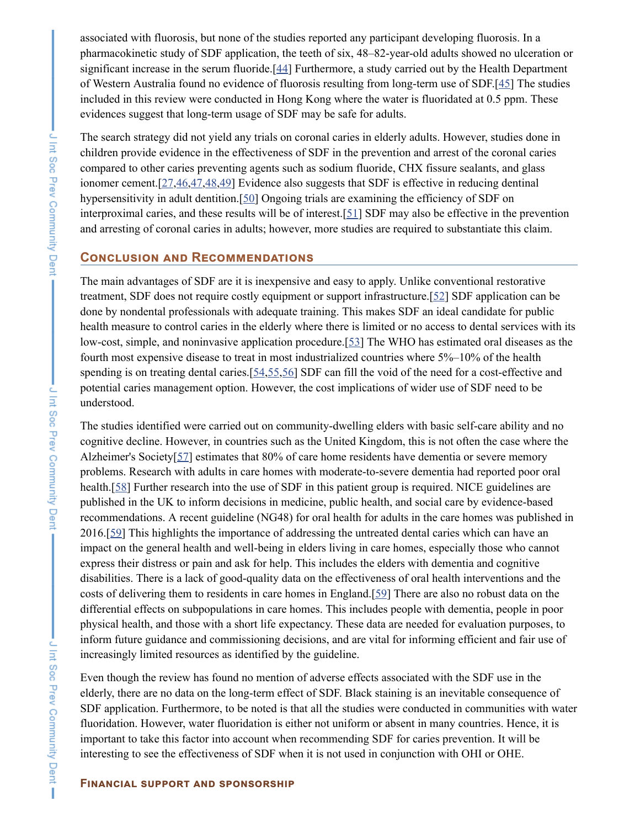associated with fluorosis, but none of the studies reported any participant developing fluorosis. In a pharmacokinetic study of SDF application, the teeth of six, 48–82-year-old adults showed no ulceration or significant increase in the serum fluoride.[[44\]](#page-8-12) Furthermore, a study carried out by the Health Department of Western Australia found no evidence of fluorosis resulting from long-term use of SDF.[\[45](#page-8-13)] The studies included in this review were conducted in Hong Kong where the water is fluoridated at 0.5 ppm. These evidences suggest that long-term usage of SDF may be safe for adults.

The search strategy did not yield any trials on coronal caries in elderly adults. However, studies done in children provide evidence in the effectiveness of SDF in the prevention and arrest of the coronal caries compared to other caries preventing agents such as sodium fluoride, CHX fissure sealants, and glass ionomer cement.[[27](#page-7-12),[46](#page-8-14)[,47](#page-8-15)[,48](#page-8-16)[,49](#page-9-0)] Evidence also suggests that SDF is effective in reducing dentinal hypersensitivity in adult dentition.[\[50](#page-9-1)] Ongoing trials are examining the efficiency of SDF on interproximal caries, and these results will be of interest.[\[51\]](#page-9-2) SDF may also be effective in the prevention and arresting of coronal caries in adults; however, more studies are required to substantiate this claim.

#### **CONCLUSION AND RECOMMENDATIONS**

The main advantages of SDF are it is inexpensive and easy to apply. Unlike conventional restorative treatment, SDF does not require costly equipment or support infrastructure.[[52\]](#page-9-3) SDF application can be done by nondental professionals with adequate training. This makes SDF an ideal candidate for public health measure to control caries in the elderly where there is limited or no access to dental services with its low-cost, simple, and noninvasive application procedure.[[53\]](#page-9-4) The WHO has estimated oral diseases as the fourth most expensive disease to treat in most industrialized countries where 5%–10% of the health spending is on treating dental caries.[[54,](#page-9-5)[55,](#page-9-6)[56\]](#page-9-7) SDF can fill the void of the need for a cost-effective and potential caries management option. However, the cost implications of wider use of SDF need to be understood.

The studies identified were carried out on community-dwelling elders with basic self-care ability and no cognitive decline. However, in countries such as the United Kingdom, this is not often the case where the Alzheimer's Society[[57\]](#page-9-8) estimates that 80% of care home residents have dementia or severe memory problems. Research with adults in care homes with moderate-to-severe dementia had reported poor oral health.[\[58](#page-9-9)] Further research into the use of SDF in this patient group is required. NICE guidelines are published in the UK to inform decisions in medicine, public health, and social care by evidence-based recommendations. A recent guideline (NG48) for oral health for adults in the care homes was published in 2016.[\[59](#page-9-10)] This highlights the importance of addressing the untreated dental caries which can have an impact on the general health and well-being in elders living in care homes, especially those who cannot express their distress or pain and ask for help. This includes the elders with dementia and cognitive disabilities. There is a lack of good-quality data on the effectiveness of oral health interventions and the costs of delivering them to residents in care homes in England.[\[59](#page-9-10)] There are also no robust data on the differential effects on subpopulations in care homes. This includes people with dementia, people in poor physical health, and those with a short life expectancy. These data are needed for evaluation purposes, to inform future guidance and commissioning decisions, and are vital for informing efficient and fair use of increasingly limited resources as identified by the guideline.

Even though the review has found no mention of adverse effects associated with the SDF use in the elderly, there are no data on the long-term effect of SDF. Black staining is an inevitable consequence of SDF application. Furthermore, to be noted is that all the studies were conducted in communities with water fluoridation. However, water fluoridation is either not uniform or absent in many countries. Hence, it is important to take this factor into account when recommending SDF for caries prevention. It will be interesting to see the effectiveness of SDF when it is not used in conjunction with OHI or OHE.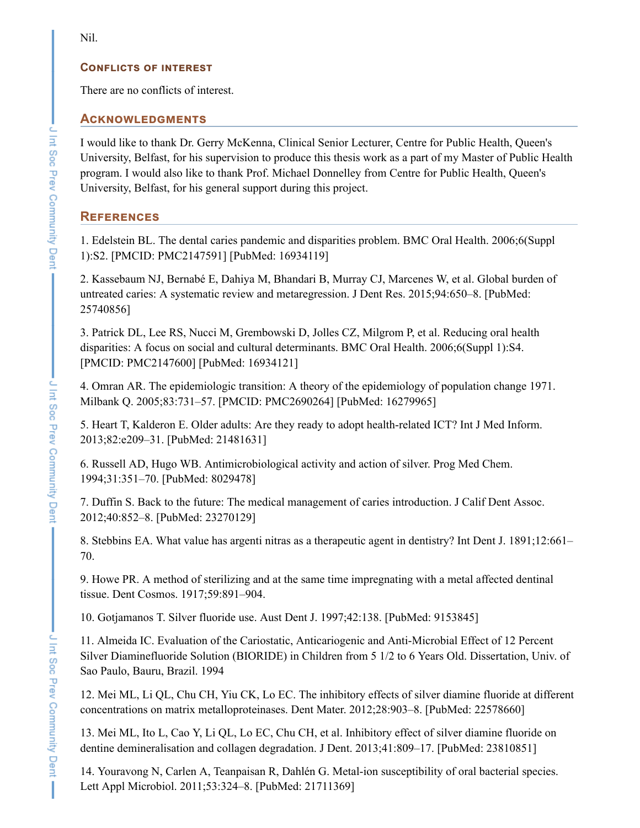### **CONFLICTS OF INTEREST**

There are no conflicts of interest.

### **ACKNOWLEDGMENTS**

I would like to thank Dr. Gerry McKenna, Clinical Senior Lecturer, Centre for Public Health, Queen's University, Belfast, for his supervision to produce this thesis work as a part of my Master of Public Health program. I would also like to thank Prof. Michael Donnelley from Centre for Public Health, Queen's University, Belfast, for his general support during this project.

# **REFERENCES**

<span id="page-6-0"></span>1. Edelstein BL. The dental caries pandemic and disparities problem. BMC Oral Health. 2006;6(Suppl 1):S2. [PMCID: PMC2147591] [PubMed: 16934119]

<span id="page-6-1"></span>2. Kassebaum NJ, Bernabé E, Dahiya M, Bhandari B, Murray CJ, Marcenes W, et al. Global burden of untreated caries: A systematic review and metaregression. J Dent Res. 2015;94:650–8. [PubMed: 25740856]

<span id="page-6-2"></span>3. Patrick DL, Lee RS, Nucci M, Grembowski D, Jolles CZ, Milgrom P, et al. Reducing oral health disparities: A focus on social and cultural determinants. BMC Oral Health. 2006;6(Suppl 1):S4. [PMCID: PMC2147600] [PubMed: 16934121]

<span id="page-6-3"></span>4. Omran AR. The epidemiologic transition: A theory of the epidemiology of population change 1971. Milbank Q. 2005;83:731–57. [PMCID: PMC2690264] [PubMed: 16279965]

<span id="page-6-4"></span>5. Heart T, Kalderon E. Older adults: Are they ready to adopt health-related ICT? Int J Med Inform. 2013;82:e209–31. [PubMed: 21481631]

<span id="page-6-5"></span>6. Russell AD, Hugo WB. Antimicrobiological activity and action of silver. Prog Med Chem. 1994;31:351–70. [PubMed: 8029478]

<span id="page-6-6"></span>7. Duffin S. Back to the future: The medical management of caries introduction. J Calif Dent Assoc. 2012;40:852–8. [PubMed: 23270129]

<span id="page-6-7"></span>8. Stebbins EA. What value has argenti nitras as a therapeutic agent in dentistry? Int Dent J. 1891;12:661– 70.

<span id="page-6-8"></span>9. Howe PR. A method of sterilizing and at the same time impregnating with a metal affected dentinal tissue. Dent Cosmos. 1917;59:891–904.

<span id="page-6-9"></span>10. Gotjamanos T. Silver fluoride use. Aust Dent J. 1997;42:138. [PubMed: 9153845]

<span id="page-6-10"></span>11. Almeida IC. Evaluation of the Cariostatic, Anticariogenic and Anti-Microbial Effect of 12 Percent Silver Diaminefluoride Solution (BIORIDE) in Children from 5 1/2 to 6 Years Old. Dissertation, Univ. of Sao Paulo, Bauru, Brazil. 1994

<span id="page-6-11"></span>12. Mei ML, Li QL, Chu CH, Yiu CK, Lo EC. The inhibitory effects of silver diamine fluoride at different concentrations on matrix metalloproteinases. Dent Mater. 2012;28:903–8. [PubMed: 22578660]

<span id="page-6-12"></span>13. Mei ML, Ito L, Cao Y, Li QL, Lo EC, Chu CH, et al. Inhibitory effect of silver diamine fluoride on dentine demineralisation and collagen degradation. J Dent. 2013;41:809–17. [PubMed: 23810851]

<span id="page-6-13"></span>14. Youravong N, Carlen A, Teanpaisan R, Dahlén G. Metal-ion susceptibility of oral bacterial species. Lett Appl Microbiol. 2011;53:324–8. [PubMed: 21711369]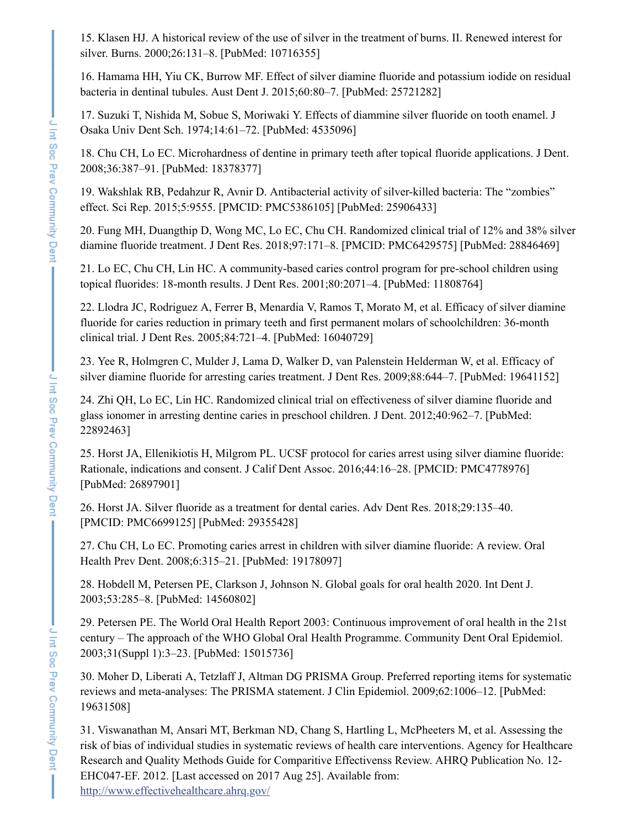<span id="page-7-0"></span>15. Klasen HJ. A historical review of the use of silver in the treatment of burns. II. Renewed interest for silver. Burns. 2000;26:131–8. [PubMed: 10716355]

<span id="page-7-1"></span>16. Hamama HH, Yiu CK, Burrow MF. Effect of silver diamine fluoride and potassium iodide on residual bacteria in dentinal tubules. Aust Dent J. 2015;60:80–7. [PubMed: 25721282]

<span id="page-7-2"></span>17. Suzuki T, Nishida M, Sobue S, Moriwaki Y. Effects of diammine silver fluoride on tooth enamel. J Osaka Univ Dent Sch. 1974;14:61–72. [PubMed: 4535096]

<span id="page-7-3"></span>18. Chu CH, Lo EC. Microhardness of dentine in primary teeth after topical fluoride applications. J Dent. 2008;36:387–91. [PubMed: 18378377]

<span id="page-7-4"></span>19. Wakshlak RB, Pedahzur R, Avnir D. Antibacterial activity of silver-killed bacteria: The "zombies" effect. Sci Rep. 2015;5:9555. [PMCID: PMC5386105] [PubMed: 25906433]

<span id="page-7-5"></span>20. Fung MH, Duangthip D, Wong MC, Lo EC, Chu CH. Randomized clinical trial of 12% and 38% silver diamine fluoride treatment. J Dent Res. 2018;97:171–8. [PMCID: PMC6429575] [PubMed: 28846469]

<span id="page-7-6"></span>21. Lo EC, Chu CH, Lin HC. A community-based caries control program for pre-school children using topical fluorides: 18-month results. J Dent Res. 2001;80:2071–4. [PubMed: 11808764]

<span id="page-7-7"></span>22. Llodra JC, Rodriguez A, Ferrer B, Menardia V, Ramos T, Morato M, et al. Efficacy of silver diamine fluoride for caries reduction in primary teeth and first permanent molars of schoolchildren: 36-month clinical trial. J Dent Res. 2005;84:721–4. [PubMed: 16040729]

<span id="page-7-8"></span>23. Yee R, Holmgren C, Mulder J, Lama D, Walker D, van Palenstein Helderman W, et al. Efficacy of silver diamine fluoride for arresting caries treatment. J Dent Res. 2009;88:644–7. [PubMed: 19641152]

<span id="page-7-9"></span>24. Zhi QH, Lo EC, Lin HC. Randomized clinical trial on effectiveness of silver diamine fluoride and glass ionomer in arresting dentine caries in preschool children. J Dent. 2012;40:962–7. [PubMed: 22892463]

<span id="page-7-10"></span>25. Horst JA, Ellenikiotis H, Milgrom PL. UCSF protocol for caries arrest using silver diamine fluoride: Rationale, indications and consent. J Calif Dent Assoc. 2016;44:16–28. [PMCID: PMC4778976] [PubMed: 26897901]

<span id="page-7-11"></span>26. Horst JA. Silver fluoride as a treatment for dental caries. Adv Dent Res. 2018;29:135–40. [PMCID: PMC6699125] [PubMed: 29355428]

<span id="page-7-12"></span>27. Chu CH, Lo EC. Promoting caries arrest in children with silver diamine fluoride: A review. Oral Health Prev Dent. 2008;6:315–21. [PubMed: 19178097]

<span id="page-7-13"></span>28. Hobdell M, Petersen PE, Clarkson J, Johnson N. Global goals for oral health 2020. Int Dent J. 2003;53:285–8. [PubMed: 14560802]

<span id="page-7-14"></span>29. Petersen PE. The World Oral Health Report 2003: Continuous improvement of oral health in the 21st century – The approach of the WHO Global Oral Health Programme. Community Dent Oral Epidemiol. 2003;31(Suppl 1):3–23. [PubMed: 15015736]

<span id="page-7-15"></span>30. Moher D, Liberati A, Tetzlaff J, Altman DG PRISMA Group. Preferred reporting items for systematic reviews and meta-analyses: The PRISMA statement. J Clin Epidemiol. 2009;62:1006–12. [PubMed: 19631508]

<span id="page-7-16"></span>31. Viswanathan M, Ansari MT, Berkman ND, Chang S, Hartling L, McPheeters M, et al. Assessing the risk of bias of individual studies in systematic reviews of health care interventions. Agency for Healthcare Research and Quality Methods Guide for Comparitive Effectivenss Review. AHRQ Publication No. 12- EHC047-EF. 2012. [Last accessed on 2017 Aug 25]. Available from: <http://www.effectivehealthcare.ahrq.gov/>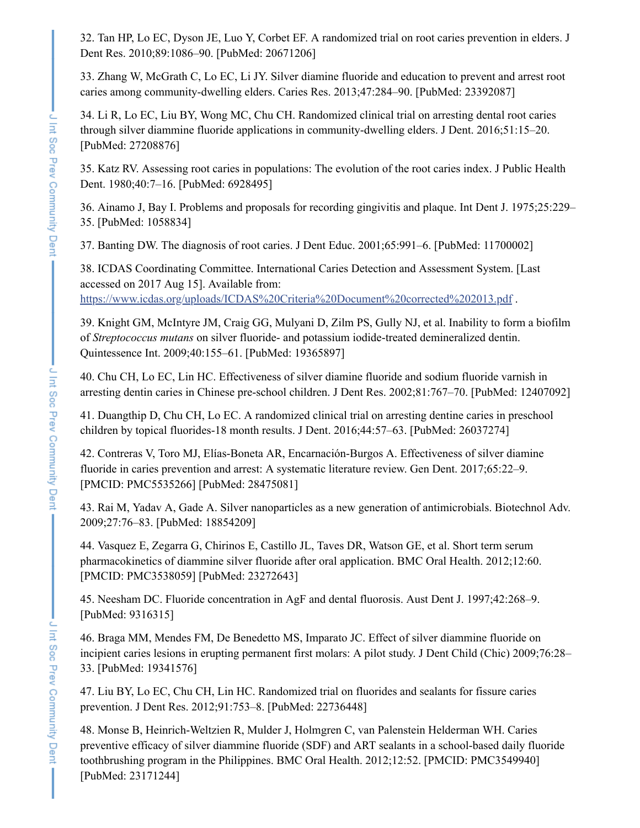<span id="page-8-0"></span>32. Tan HP, Lo EC, Dyson JE, Luo Y, Corbet EF. A randomized trial on root caries prevention in elders. J Dent Res. 2010;89:1086–90. [PubMed: 20671206]

<span id="page-8-1"></span>33. Zhang W, McGrath C, Lo EC, Li JY. Silver diamine fluoride and education to prevent and arrest root caries among community-dwelling elders. Caries Res. 2013;47:284–90. [PubMed: 23392087]

<span id="page-8-2"></span>34. Li R, Lo EC, Liu BY, Wong MC, Chu CH. Randomized clinical trial on arresting dental root caries through silver diammine fluoride applications in community-dwelling elders. J Dent. 2016;51:15–20. [PubMed: 27208876]

<span id="page-8-3"></span>35. Katz RV. Assessing root caries in populations: The evolution of the root caries index. J Public Health Dent. 1980;40:7–16. [PubMed: 6928495]

<span id="page-8-4"></span>36. Ainamo J, Bay I. Problems and proposals for recording gingivitis and plaque. Int Dent J. 1975;25:229– 35. [PubMed: 1058834]

<span id="page-8-5"></span>37. Banting DW. The diagnosis of root caries. J Dent Educ. 2001;65:991–6. [PubMed: 11700002]

<span id="page-8-6"></span>38. ICDAS Coordinating Committee. International Caries Detection and Assessment System. [Last accessed on 2017 Aug 15]. Available from: <https://www.icdas.org/uploads/ICDAS%20Criteria%20Document%20corrected%202013.pdf>.

<span id="page-8-7"></span>39. Knight GM, McIntyre JM, Craig GG, Mulyani D, Zilm PS, Gully NJ, et al. Inability to form a biofilm of *Streptococcus mutans* on silver fluoride- and potassium iodide-treated demineralized dentin. Quintessence Int. 2009;40:155–61. [PubMed: 19365897]

<span id="page-8-8"></span>40. Chu CH, Lo EC, Lin HC. Effectiveness of silver diamine fluoride and sodium fluoride varnish in arresting dentin caries in Chinese pre-school children. J Dent Res. 2002;81:767–70. [PubMed: 12407092]

<span id="page-8-9"></span>41. Duangthip D, Chu CH, Lo EC. A randomized clinical trial on arresting dentine caries in preschool children by topical fluorides-18 month results. J Dent. 2016;44:57–63. [PubMed: 26037274]

<span id="page-8-10"></span>42. Contreras V, Toro MJ, Elías-Boneta AR, Encarnación-Burgos A. Effectiveness of silver diamine fluoride in caries prevention and arrest: A systematic literature review. Gen Dent. 2017;65:22–9. [PMCID: PMC5535266] [PubMed: 28475081]

<span id="page-8-11"></span>43. Rai M, Yadav A, Gade A. Silver nanoparticles as a new generation of antimicrobials. Biotechnol Adv. 2009;27:76–83. [PubMed: 18854209]

<span id="page-8-12"></span>44. Vasquez E, Zegarra G, Chirinos E, Castillo JL, Taves DR, Watson GE, et al. Short term serum pharmacokinetics of diammine silver fluoride after oral application. BMC Oral Health. 2012;12:60. [PMCID: PMC3538059] [PubMed: 23272643]

<span id="page-8-13"></span>45. Neesham DC. Fluoride concentration in AgF and dental fluorosis. Aust Dent J. 1997;42:268–9. [PubMed: 9316315]

<span id="page-8-14"></span>46. Braga MM, Mendes FM, De Benedetto MS, Imparato JC. Effect of silver diammine fluoride on incipient caries lesions in erupting permanent first molars: A pilot study. J Dent Child (Chic) 2009;76:28– 33. [PubMed: 19341576]

<span id="page-8-15"></span>47. Liu BY, Lo EC, Chu CH, Lin HC. Randomized trial on fluorides and sealants for fissure caries prevention. J Dent Res. 2012;91:753–8. [PubMed: 22736448]

<span id="page-8-16"></span>48. Monse B, Heinrich-Weltzien R, Mulder J, Holmgren C, van Palenstein Helderman WH. Caries preventive efficacy of silver diammine fluoride (SDF) and ART sealants in a school-based daily fluoride toothbrushing program in the Philippines. BMC Oral Health. 2012;12:52. [PMCID: PMC3549940] [PubMed: 23171244]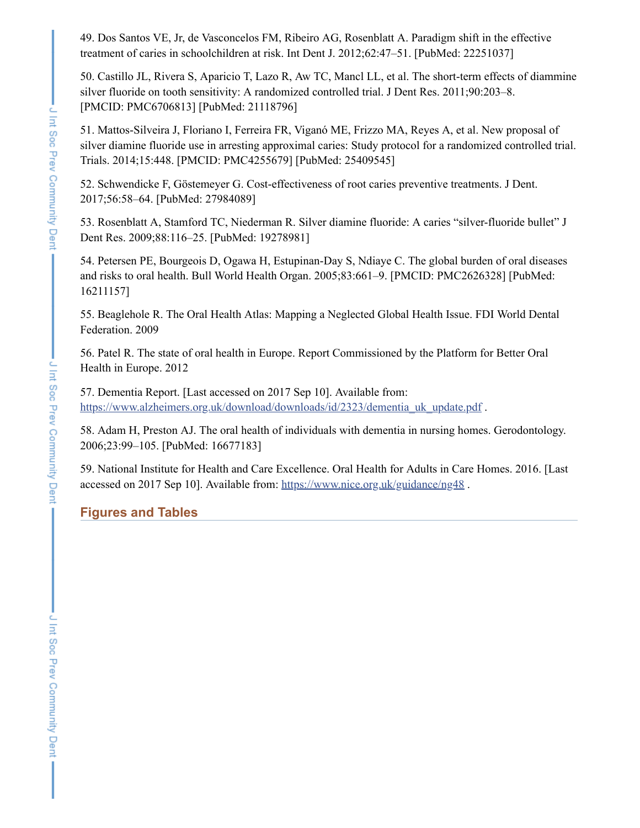<span id="page-9-0"></span>49. Dos Santos VE, Jr, de Vasconcelos FM, Ribeiro AG, Rosenblatt A. Paradigm shift in the effective treatment of caries in schoolchildren at risk. Int Dent J. 2012;62:47–51. [PubMed: 22251037]

<span id="page-9-1"></span>50. Castillo JL, Rivera S, Aparicio T, Lazo R, Aw TC, Mancl LL, et al. The short-term effects of diammine silver fluoride on tooth sensitivity: A randomized controlled trial. J Dent Res. 2011;90:203–8. [PMCID: PMC6706813] [PubMed: 21118796]

<span id="page-9-2"></span>51. Mattos-Silveira J, Floriano I, Ferreira FR, Viganó ME, Frizzo MA, Reyes A, et al. New proposal of silver diamine fluoride use in arresting approximal caries: Study protocol for a randomized controlled trial. Trials. 2014;15:448. [PMCID: PMC4255679] [PubMed: 25409545]

<span id="page-9-3"></span>52. Schwendicke F, Göstemeyer G. Cost-effectiveness of root caries preventive treatments. J Dent. 2017;56:58–64. [PubMed: 27984089]

<span id="page-9-4"></span>53. Rosenblatt A, Stamford TC, Niederman R. Silver diamine fluoride: A caries "silver-fluoride bullet" J Dent Res. 2009;88:116–25. [PubMed: 19278981]

<span id="page-9-5"></span>54. Petersen PE, Bourgeois D, Ogawa H, Estupinan-Day S, Ndiaye C. The global burden of oral diseases and risks to oral health. Bull World Health Organ. 2005;83:661–9. [PMCID: PMC2626328] [PubMed: 16211157]

<span id="page-9-6"></span>55. Beaglehole R. The Oral Health Atlas: Mapping a Neglected Global Health Issue. FDI World Dental Federation. 2009

<span id="page-9-7"></span>56. Patel R. The state of oral health in Europe. Report Commissioned by the Platform for Better Oral Health in Europe. 2012

<span id="page-9-8"></span>57. Dementia Report. [Last accessed on 2017 Sep 10]. Available from: [https://www.alzheimers.org.uk/download/downloads/id/2323/dementia\\_uk\\_update.pdf](https://www.alzheimers.org.uk/download/downloads/id/2323/dementia_uk_update.pdf) .

<span id="page-9-9"></span>58. Adam H, Preston AJ. The oral health of individuals with dementia in nursing homes. Gerodontology. 2006;23:99–105. [PubMed: 16677183]

<span id="page-9-10"></span>59. National Institute for Health and Care Excellence. Oral Health for Adults in Care Homes. 2016. [Last accessed on 2017 Sep 10]. Available from: <https://www.nice.org.uk/guidance/ng48>.

## **Figures and Tables**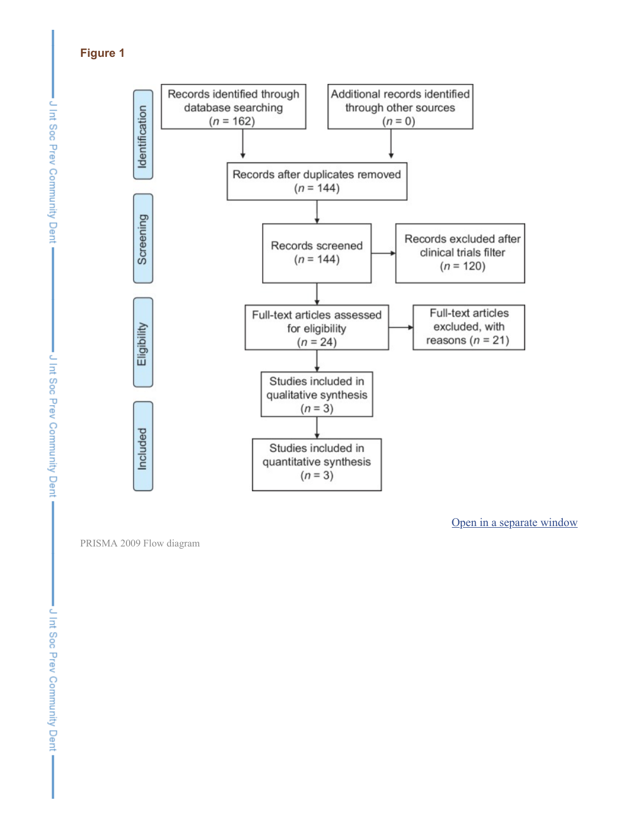# **Figure 1**



PRISMA 2009 Flow diagram

Open in a [separate](https://www.ncbi.nlm.nih.gov/pmc/articles/PMC5985673/figure/F1/?report=objectonly) window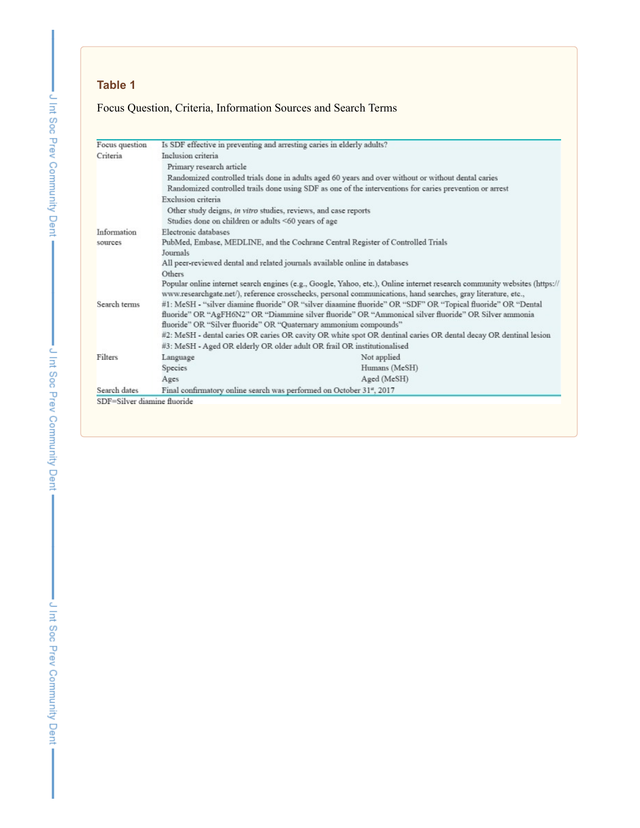# Focus Question, Criteria, Information Sources and Search Terms

| Focus question                      | Is SDF effective in preventing and arresting caries in elderly adults?                                                                                                                                                                                                                     |                                                                                                         |  |  |  |  |
|-------------------------------------|--------------------------------------------------------------------------------------------------------------------------------------------------------------------------------------------------------------------------------------------------------------------------------------------|---------------------------------------------------------------------------------------------------------|--|--|--|--|
| Criteria                            | Inclusion criteria                                                                                                                                                                                                                                                                         |                                                                                                         |  |  |  |  |
|                                     | Primary research article                                                                                                                                                                                                                                                                   |                                                                                                         |  |  |  |  |
|                                     | Randomized controlled trials done in adults aged 60 years and over without or without dental caries                                                                                                                                                                                        |                                                                                                         |  |  |  |  |
|                                     |                                                                                                                                                                                                                                                                                            | Randomized controlled trails done using SDF as one of the interventions for caries prevention or arrest |  |  |  |  |
|                                     | Exclusion criteria                                                                                                                                                                                                                                                                         |                                                                                                         |  |  |  |  |
|                                     | Other study deigns, in vitro studies, reviews, and case reports                                                                                                                                                                                                                            |                                                                                                         |  |  |  |  |
|                                     | Studies done on children or adults <60 years of age                                                                                                                                                                                                                                        |                                                                                                         |  |  |  |  |
| Electronic databases<br>Information |                                                                                                                                                                                                                                                                                            |                                                                                                         |  |  |  |  |
| sources                             |                                                                                                                                                                                                                                                                                            | PubMed, Embase, MEDLINE, and the Cochrane Central Register of Controlled Trials                         |  |  |  |  |
|                                     | Journals                                                                                                                                                                                                                                                                                   |                                                                                                         |  |  |  |  |
|                                     | All peer-reviewed dental and related journals available online in databases                                                                                                                                                                                                                |                                                                                                         |  |  |  |  |
|                                     | Others                                                                                                                                                                                                                                                                                     |                                                                                                         |  |  |  |  |
|                                     | Popular online internet search engines (e.g., Google, Yahoo, etc.), Online internet research community websites (https://<br>www.researchgate.net/), reference crosschecks, personal communications, hand searches, gray literature, etc.,                                                 |                                                                                                         |  |  |  |  |
| Search terms                        | #1: MeSH - "silver diamine fluoride" OR "silver diaamine fluoride" OR "SDF" OR "Topical fluoride" OR "Dental<br>fluoride" OR "AgFH6N2" OR "Diammine silver fluoride" OR "Ammonical silver fluoride" OR Silver ammonia<br>fluoride" OR "Silver fluoride" OR "Quaternary ammonium compounds" |                                                                                                         |  |  |  |  |
|                                     | #2: MeSH - dental caries OR caries OR cavity OR white spot OR dentinal caries OR dental decay OR dentinal lesion                                                                                                                                                                           |                                                                                                         |  |  |  |  |
|                                     | #3: MeSH - Aged OR elderly OR older adult OR frail OR institutionalised                                                                                                                                                                                                                    |                                                                                                         |  |  |  |  |
| Filters                             | Language                                                                                                                                                                                                                                                                                   | Not applied                                                                                             |  |  |  |  |
|                                     | Species                                                                                                                                                                                                                                                                                    | Humans (MeSH)                                                                                           |  |  |  |  |
|                                     | Ages                                                                                                                                                                                                                                                                                       | Aged (MeSH)                                                                                             |  |  |  |  |
| Search dates                        | Final confirmatory online search was performed on October 31 <sup>ª</sup> , 2017                                                                                                                                                                                                           |                                                                                                         |  |  |  |  |
| SDF=Silver diamine fluoride         |                                                                                                                                                                                                                                                                                            |                                                                                                         |  |  |  |  |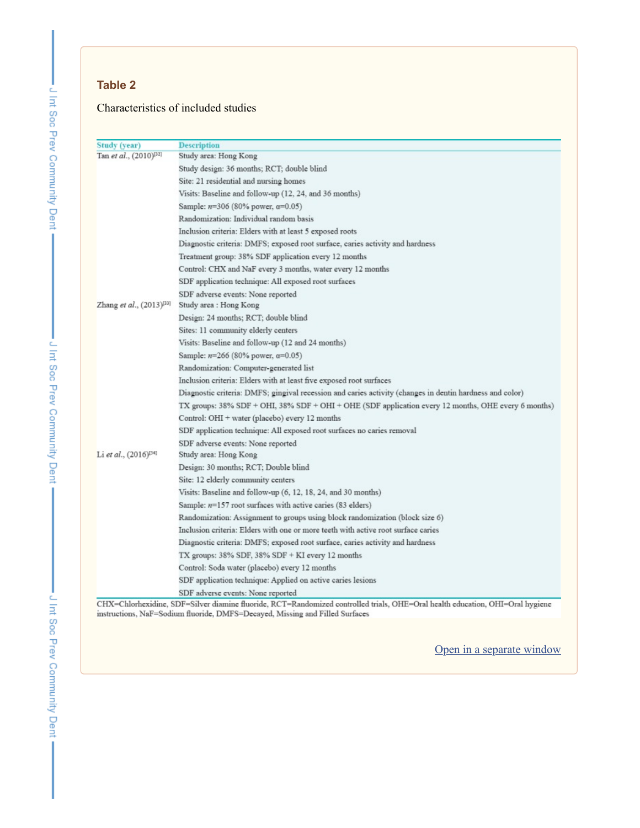## Characteristics of included studies

| <b>Study (year)</b>                | <b>Description</b>                                                                                                            |  |  |  |  |
|------------------------------------|-------------------------------------------------------------------------------------------------------------------------------|--|--|--|--|
| Tan et al., (2010) <sup>[32]</sup> | Study area: Hong Kong                                                                                                         |  |  |  |  |
|                                    | Study design: 36 months; RCT; double blind                                                                                    |  |  |  |  |
|                                    | Site: 21 residential and nursing homes                                                                                        |  |  |  |  |
|                                    | Visits: Baseline and follow-up (12, 24, and 36 months)                                                                        |  |  |  |  |
|                                    | Sample: $n=306$ (80% power, $\alpha=0.05$ )                                                                                   |  |  |  |  |
|                                    | Randomization: Individual random basis                                                                                        |  |  |  |  |
|                                    | Inclusion criteria: Elders with at least 5 exposed roots                                                                      |  |  |  |  |
|                                    | Diagnostic criteria: DMFS; exposed root surface, caries activity and hardness                                                 |  |  |  |  |
|                                    | Treatment group: 38% SDF application every 12 months                                                                          |  |  |  |  |
|                                    | Control: CHX and NaF every 3 months, water every 12 months                                                                    |  |  |  |  |
|                                    | SDF application technique: All exposed root surfaces                                                                          |  |  |  |  |
|                                    | SDF adverse events: None reported                                                                                             |  |  |  |  |
| Zhang et al., $(2013)^{33}$        | Study area : Hong Kong                                                                                                        |  |  |  |  |
|                                    | Design: 24 months; RCT; double blind                                                                                          |  |  |  |  |
|                                    | Sites: 11 community elderly centers                                                                                           |  |  |  |  |
|                                    | Visits: Baseline and follow-up (12 and 24 months)                                                                             |  |  |  |  |
|                                    | Sample: $n=266$ (80% power, $\alpha=0.05$ )                                                                                   |  |  |  |  |
|                                    | Randomization: Computer-generated list                                                                                        |  |  |  |  |
|                                    | Inclusion criteria: Elders with at least five exposed root surfaces                                                           |  |  |  |  |
|                                    | Diagnostic criteria: DMFS; gingival recession and caries activity (changes in dentin hardness and color)                      |  |  |  |  |
|                                    | TX groups: 38% SDF + OHI, 38% SDF + OHI + OHE (SDF application every 12 months, OHE every 6 months)                           |  |  |  |  |
|                                    | Control: OHI + water (placebo) every 12 months                                                                                |  |  |  |  |
|                                    | SDF application technique: All exposed root surfaces no caries removal                                                        |  |  |  |  |
|                                    | SDF adverse events: None reported                                                                                             |  |  |  |  |
| Li et al., $(2016)^{[34]}$         | Study area: Hong Kong                                                                                                         |  |  |  |  |
|                                    | Design: 30 months; RCT; Double blind                                                                                          |  |  |  |  |
|                                    | Site: 12 elderly community centers                                                                                            |  |  |  |  |
|                                    | Visits: Baseline and follow-up (6, 12, 18, 24, and 30 months)                                                                 |  |  |  |  |
|                                    | Sample: $n=157$ root surfaces with active caries (83 elders)                                                                  |  |  |  |  |
|                                    | Randomization: Assignment to groups using block randomization (block size 6)                                                  |  |  |  |  |
|                                    | Inclusion criteria: Elders with one or more teeth with active root surface caries                                             |  |  |  |  |
|                                    | Diagnostic criteria: DMFS; exposed root surface, caries activity and hardness                                                 |  |  |  |  |
|                                    | TX groups: $38\%$ SDF, $38\%$ SDF + KI every 12 months                                                                        |  |  |  |  |
|                                    | Control: Soda water (placebo) every 12 months                                                                                 |  |  |  |  |
|                                    | SDF application technique: Applied on active caries lesions                                                                   |  |  |  |  |
|                                    | SDF adverse events: None reported                                                                                             |  |  |  |  |
|                                    | CHX=Chlorhexidine, SDF=Silver diamine fluoride, RCT=Randomized controlled trials, OHE=Oral health education, OHI=Oral hygiene |  |  |  |  |
|                                    | instructions, NaF=Sodium fluoride, DMFS=Decayed, Missing and Filled Surfaces                                                  |  |  |  |  |

Open in a [separate](https://www.ncbi.nlm.nih.gov/pmc/articles/PMC5985673/table/T2/?report=objectonly) window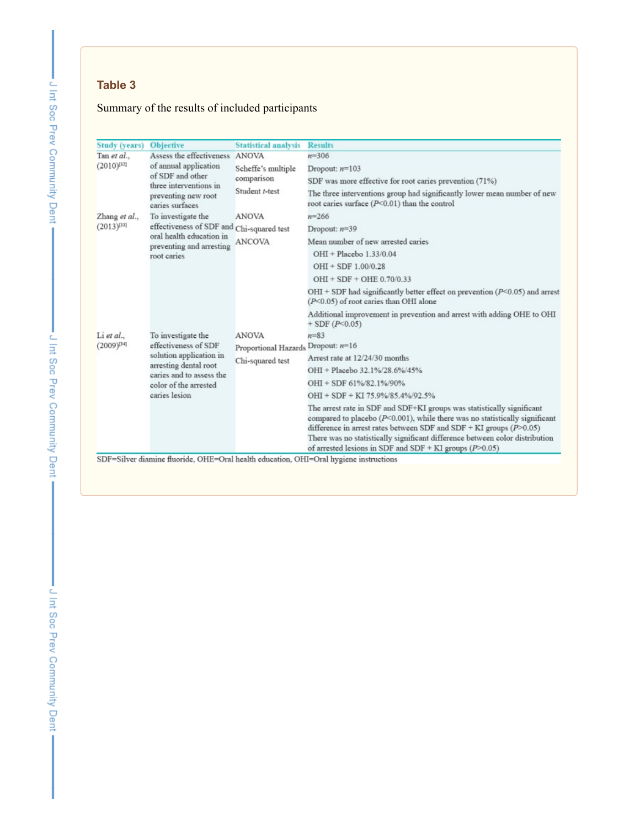# Summary of the results of included participants

| <b>Study (years)</b>          | <b>Objective</b>                                                                                                                                                     | <b>Statistical analysis</b>        | <b>Results</b>                                                                                                                                                                                                                                                                                                                                                                  |
|-------------------------------|----------------------------------------------------------------------------------------------------------------------------------------------------------------------|------------------------------------|---------------------------------------------------------------------------------------------------------------------------------------------------------------------------------------------------------------------------------------------------------------------------------------------------------------------------------------------------------------------------------|
| Tan et al.,                   | Assess the effectiveness ANOVA                                                                                                                                       |                                    | $n = 306$                                                                                                                                                                                                                                                                                                                                                                       |
| $(2010)^{[32]}$               | of annual application<br>of SDF and other<br>three interventions in<br>preventing new root<br>caries surfaces                                                        | Scheffe's multiple                 | Dropout: $n=103$                                                                                                                                                                                                                                                                                                                                                                |
|                               |                                                                                                                                                                      | comparison                         | SDF was more effective for root caries prevention (71%)                                                                                                                                                                                                                                                                                                                         |
|                               |                                                                                                                                                                      | Student t-test                     | The three interventions group had significantly lower mean number of new<br>root caries surface $(P<0.01)$ than the control                                                                                                                                                                                                                                                     |
| Zhang et al.,                 | To investigate the                                                                                                                                                   | <b>ANOVA</b>                       | $n = 266$                                                                                                                                                                                                                                                                                                                                                                       |
| $(2013)^{[33]}$               | effectiveness of SDF and Chi-squared test<br>oral health education in<br>preventing and arresting<br>root caries                                                     |                                    | Dropout: $n=39$                                                                                                                                                                                                                                                                                                                                                                 |
|                               |                                                                                                                                                                      | ANCOVA                             | Mean number of new arrested caries                                                                                                                                                                                                                                                                                                                                              |
|                               |                                                                                                                                                                      |                                    | OHI + Placebo 1.33/0.04                                                                                                                                                                                                                                                                                                                                                         |
|                               |                                                                                                                                                                      |                                    | $OHI + SDF 1.00/0.28$                                                                                                                                                                                                                                                                                                                                                           |
|                               |                                                                                                                                                                      |                                    | OHI + SDF + OHE 0.70/0.33                                                                                                                                                                                                                                                                                                                                                       |
|                               |                                                                                                                                                                      |                                    | OHI + SDF had significantly better effect on prevention ( $P$ < 0.05) and arrest<br>$(P<0.05)$ of root caries than OHI alone                                                                                                                                                                                                                                                    |
|                               |                                                                                                                                                                      |                                    | Additional improvement in prevention and arrest with adding OHE to OHI<br>$+$ SDF ( $P$ < 0.05)                                                                                                                                                                                                                                                                                 |
| Li et al.,<br>$(2009)^{[34]}$ | To investigate the<br>effectiveness of SDF<br>solution application in<br>arresting dental root<br>caries and to assess the<br>color of the arrested<br>caries lesion | <b>ANOVA</b>                       | $n = 83$                                                                                                                                                                                                                                                                                                                                                                        |
|                               |                                                                                                                                                                      | Proportional Hazards Dropout: n=16 |                                                                                                                                                                                                                                                                                                                                                                                 |
|                               |                                                                                                                                                                      | Chi-squared test                   | Arrest rate at 12/24/30 months                                                                                                                                                                                                                                                                                                                                                  |
|                               |                                                                                                                                                                      |                                    | OHI + Placebo 32.1%/28.6%/45%                                                                                                                                                                                                                                                                                                                                                   |
|                               |                                                                                                                                                                      |                                    | OHI + SDF 61%/82.1%/90%                                                                                                                                                                                                                                                                                                                                                         |
|                               |                                                                                                                                                                      |                                    | OHI + SDF + KI 75.9%/85.4%/92.5%                                                                                                                                                                                                                                                                                                                                                |
|                               |                                                                                                                                                                      |                                    | The arrest rate in SDF and SDF+KI groups was statistically significant<br>compared to placebo ( $P<0.001$ ), while there was no statistically significant<br>difference in arrest rates between SDF and SDF + KI groups $(P>0.05)$<br>There was no statistically significant difference between color distribution<br>of arrested lesions in SDF and SDF + KI groups $(P>0.05)$ |
|                               |                                                                                                                                                                      |                                    | SDF=Silver diamine fluoride, OHE=Oral health education, OHI=Oral hygiene instructions                                                                                                                                                                                                                                                                                           |